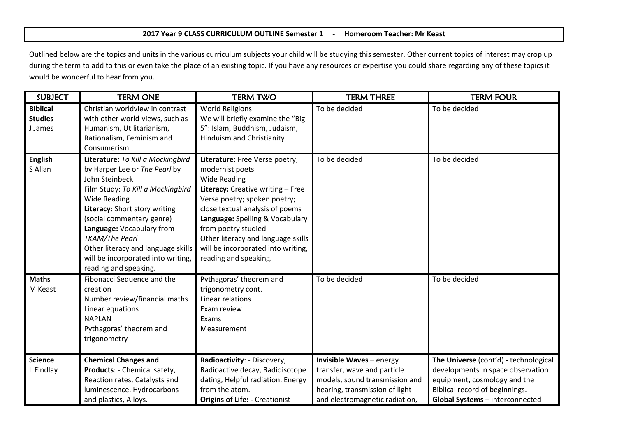## **2017 Year 9 CLASS CURRICULUM OUTLINE Semester 1 - Homeroom Teacher: Mr Keast**

Outlined below are the topics and units in the various curriculum subjects your child will be studying this semester. Other current topics of interest may crop up during the term to add to this or even take the place of an existing topic. If you have any resources or expertise you could share regarding any of these topics it would be wonderful to hear from you.

| <b>SUBJECT</b>                               | <b>TERM ONE</b>                                                                                                                                                                                                                                                                                                                                                           | <b>TERM TWO</b>                                                                                                                                                                                                                                                                                                                                 | <b>TERM THREE</b>                                                                                                                                             | <b>TERM FOUR</b>                                                                                                                                                                |
|----------------------------------------------|---------------------------------------------------------------------------------------------------------------------------------------------------------------------------------------------------------------------------------------------------------------------------------------------------------------------------------------------------------------------------|-------------------------------------------------------------------------------------------------------------------------------------------------------------------------------------------------------------------------------------------------------------------------------------------------------------------------------------------------|---------------------------------------------------------------------------------------------------------------------------------------------------------------|---------------------------------------------------------------------------------------------------------------------------------------------------------------------------------|
| <b>Biblical</b><br><b>Studies</b><br>J James | Christian worldview in contrast<br>with other world-views, such as<br>Humanism, Utilitarianism,<br>Rationalism, Feminism and<br>Consumerism                                                                                                                                                                                                                               | <b>World Religions</b><br>We will briefly examine the "Big<br>5": Islam, Buddhism, Judaism,<br>Hinduism and Christianity                                                                                                                                                                                                                        | To be decided                                                                                                                                                 | To be decided                                                                                                                                                                   |
| <b>English</b><br>S Allan                    | Literature: To Kill a Mockingbird<br>by Harper Lee or The Pearl by<br>John Steinbeck<br>Film Study: To Kill a Mockingbird<br><b>Wide Reading</b><br>Literacy: Short story writing<br>(social commentary genre)<br>Language: Vocabulary from<br><b>TKAM/The Pearl</b><br>Other literacy and language skills<br>will be incorporated into writing,<br>reading and speaking. | Literature: Free Verse poetry;<br>modernist poets<br><b>Wide Reading</b><br>Literacy: Creative writing - Free<br>Verse poetry; spoken poetry;<br>close textual analysis of poems<br>Language: Spelling & Vocabulary<br>from poetry studied<br>Other literacy and language skills<br>will be incorporated into writing,<br>reading and speaking. | To be decided                                                                                                                                                 | To be decided                                                                                                                                                                   |
| <b>Maths</b><br>M Keast                      | Fibonacci Sequence and the<br>creation<br>Number review/financial maths<br>Linear equations<br><b>NAPLAN</b><br>Pythagoras' theorem and<br>trigonometry                                                                                                                                                                                                                   | Pythagoras' theorem and<br>trigonometry cont.<br>Linear relations<br>Exam review<br>Exams<br>Measurement                                                                                                                                                                                                                                        | To be decided                                                                                                                                                 | To be decided                                                                                                                                                                   |
| <b>Science</b><br>L Findlay                  | <b>Chemical Changes and</b><br>Products: - Chemical safety,<br>Reaction rates, Catalysts and<br>luminescence, Hydrocarbons<br>and plastics, Alloys.                                                                                                                                                                                                                       | Radioactivity: - Discovery,<br>Radioactive decay, Radioisotope<br>dating, Helpful radiation, Energy<br>from the atom.<br><b>Origins of Life: - Creationist</b>                                                                                                                                                                                  | Invisible Waves - energy<br>transfer, wave and particle<br>models, sound transmission and<br>hearing, transmission of light<br>and electromagnetic radiation, | The Universe (cont'd) - technological<br>developments in space observation<br>equipment, cosmology and the<br>Biblical record of beginnings.<br>Global Systems - interconnected |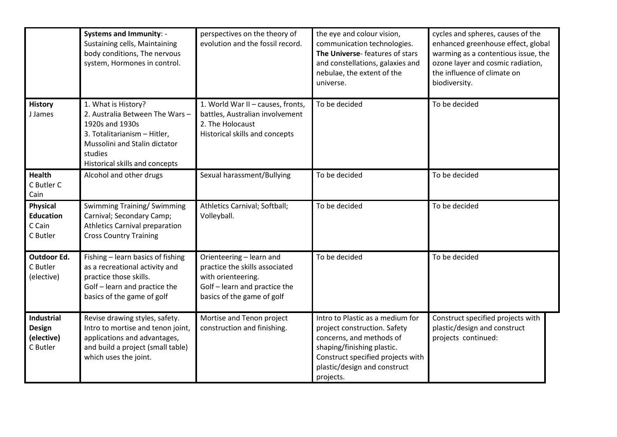|                                                           | <b>Systems and Immunity: -</b><br>Sustaining cells, Maintaining<br>body conditions, The nervous<br>system, Hormones in control.                                                         | perspectives on the theory of<br>evolution and the fossil record.                                                                               | the eye and colour vision,<br>communication technologies.<br>The Universe-features of stars<br>and constellations, galaxies and<br>nebulae, the extent of the<br>universe.                                   | cycles and spheres, causes of the<br>enhanced greenhouse effect, global<br>warming as a contentious issue, the<br>ozone layer and cosmic radiation,<br>the influence of climate on<br>biodiversity. |
|-----------------------------------------------------------|-----------------------------------------------------------------------------------------------------------------------------------------------------------------------------------------|-------------------------------------------------------------------------------------------------------------------------------------------------|--------------------------------------------------------------------------------------------------------------------------------------------------------------------------------------------------------------|-----------------------------------------------------------------------------------------------------------------------------------------------------------------------------------------------------|
| <b>History</b><br>J James                                 | 1. What is History?<br>2. Australia Between The Wars -<br>1920s and 1930s<br>3. Totalitarianism - Hitler,<br>Mussolini and Stalin dictator<br>studies<br>Historical skills and concepts | 1. World War II - causes, fronts,<br>battles, Australian involvement<br>2. The Holocaust<br>Historical skills and concepts                      | To be decided                                                                                                                                                                                                | To be decided                                                                                                                                                                                       |
| Health<br>C Butler C<br>Cain                              | Alcohol and other drugs                                                                                                                                                                 | Sexual harassment/Bullying                                                                                                                      | To be decided                                                                                                                                                                                                | To be decided                                                                                                                                                                                       |
| <b>Physical</b><br><b>Education</b><br>C Cain<br>C Butler | <b>Swimming Training/ Swimming</b><br>Carnival; Secondary Camp;<br><b>Athletics Carnival preparation</b><br><b>Cross Country Training</b>                                               | Athletics Carnival; Softball;<br>Volleyball.                                                                                                    | To be decided                                                                                                                                                                                                | To be decided                                                                                                                                                                                       |
| Outdoor Ed.<br>C Butler<br>(elective)                     | Fishing - learn basics of fishing<br>as a recreational activity and<br>practice those skills.<br>Golf - learn and practice the<br>basics of the game of golf                            | Orienteering - learn and<br>practice the skills associated<br>with orienteering.<br>Golf - learn and practice the<br>basics of the game of golf | To be decided                                                                                                                                                                                                | To be decided                                                                                                                                                                                       |
| <b>Industrial</b><br>Design<br>(elective)<br>C Butler     | Revise drawing styles, safety.<br>Intro to mortise and tenon joint,<br>applications and advantages,<br>and build a project (small table)<br>which uses the joint.                       | Mortise and Tenon project<br>construction and finishing.                                                                                        | Intro to Plastic as a medium for<br>project construction. Safety<br>concerns, and methods of<br>shaping/finishing plastic.<br>Construct specified projects with<br>plastic/design and construct<br>projects. | Construct specified projects with<br>plastic/design and construct<br>projects continued:                                                                                                            |